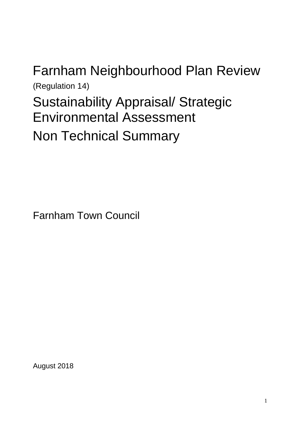# Farnham Neighbourhood Plan Review (Regulation 14) Sustainability Appraisal/ Strategic Environmental Assessment Non Technical Summary

Farnham Town Council

August 2018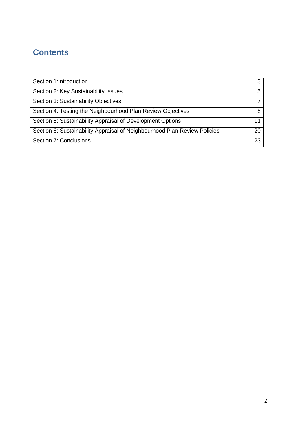# **Contents**

| Section 1:Introduction                                                    | 3  |
|---------------------------------------------------------------------------|----|
| Section 2: Key Sustainability Issues                                      | 5  |
| Section 3: Sustainability Objectives                                      |    |
| Section 4: Testing the Neighbourhood Plan Review Objectives               | 8  |
| Section 5: Sustainability Appraisal of Development Options                | 11 |
| Section 6: Sustainability Appraisal of Neighbourhood Plan Review Policies | 20 |
| Section 7: Conclusions                                                    | 23 |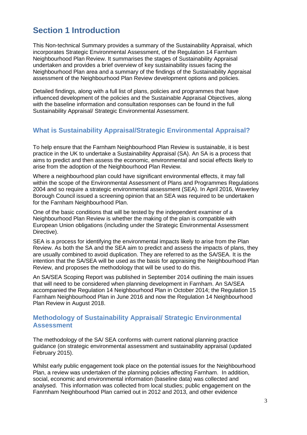# **Section 1 Introduction**

This Non-technical Summary provides a summary of the Sustainability Appraisal, which incorporates Strategic Environmental Assessment, of the Regulation 14 Farnham Neighbourhood Plan Review. It summarises the stages of Sustainability Appraisal undertaken and provides a brief overview of key sustainability issues facing the Neighbourhood Plan area and a summary of the findings of the Sustainability Appraisal assessment of the Neighbourhood Plan Review development options and policies.

Detailed findings, along with a full list of plans, policies and programmes that have influenced development of the policies and the Sustainable Appraisal Objectives, along with the baseline information and consultation responses can be found in the full Sustainability Appraisal/ Strategic Environmental Assessment.

# **What is Sustainability Appraisal/Strategic Environmental Appraisal?**

To help ensure that the Farnham Neighbourhood Plan Review is sustainable, it is best practice in the UK to undertake a Sustainability Appraisal (SA). An SA is a process that aims to predict and then assess the economic, environmental and social effects likely to arise from the adoption of the Neighbourhood Plan Review.

Where a neighbourhood plan could have significant environmental effects, it may fall within the scope of the Environmental Assessment of Plans and Programmes Regulations 2004 and so require a strategic environmental assessment (SEA). In April 2016, Waverley Borough Council issued a screening opinion that an SEA was required to be undertaken for the Farnham Neighbourhood Plan.

One of the basic conditions that will be tested by the independent examiner of a Neighbourhood Plan Review is whether the making of the plan is compatible with European Union obligations (including under the Strategic Environmental Assessment Directive).

SEA is a process for identifying the environmental impacts likely to arise from the Plan Review. As both the SA and the SEA aim to predict and assess the impacts of plans, they are usually combined to avoid duplication. They are referred to as the SA/SEA. It is the intention that the SA/SEA will be used as the basis for appraising the Neighbourhood Plan Review, and proposes the methodology that will be used to do this.

An SA/SEA Scoping Report was published in September 2014 outlining the main issues that will need to be considered when planning development in Farnham. An SA/SEA accompanied the Regulation 14 Neighbourhood Plan in October 2014; the Regulation 15 Farnham Neighbourhood Plan in June 2016 and now the Regulation 14 Neighbourhood Plan Review in August 2018.

## **Methodology of Sustainability Appraisal/ Strategic Environmental Assessment**

The methodology of the SA/ SEA conforms with current national planning practice guidance (on strategic environmental assessment and sustainability appraisal (updated February 2015).

Whilst early public engagement took place on the potential issues for the Neighbourhood Plan, a review was undertaken of the planning policies affecting Farnham. In addition, social, economic and environmental information (baseline data) was collected and analysed. This information was collected from local studies; public engagement on the Fanrnham Neighbourhood Plan carried out in 2012 and 2013, and other evidence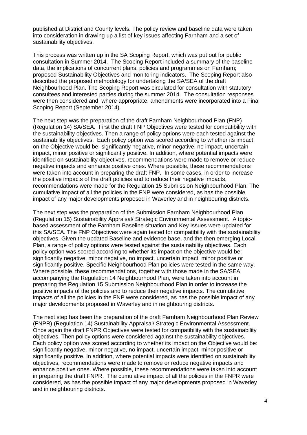published at District and County levels. The policy review and baseline data were taken into consideration in drawing up a list of key issues affecting Farnham and a set of sustainability objectives.

This process was written up in the SA Scoping Report, which was put out for public consultation in Summer 2014. The Scoping Report included a summary of the baseline data, the implications of concurrent plans, policies and programmes on Farnham; proposed Sustainability Objectives and monitoring indicators. The Scoping Report also described the proposed methodology for undertaking the SA/SEA of the draft Neighbourhood Plan. The Scoping Report was circulated for consultation with statutory consultees and interested parties during the summer 2014. The consultation responses were then considered and, where appropriate, amendments were incorporated into a Final Scoping Report (September 2014).

The next step was the preparation of the draft Farnham Neighbourhood Plan (FNP) (Regulation 14) SA/SEA. First the draft FNP Objectives were tested for compatibility with the sustainability objectives. Then a range of policy options were each tested against the sustainability objectives. Each policy option was scored according to whether its impact on the Objective would be: significantly negative, minor negative, no impact, uncertain impact, minor positive or significantly positive. In addition, where potential impacts were identified on sustainability objectives, recommendations were made to remove or reduce negative impacts and enhance positive ones. Where possible, these recommendations were taken into account in preparing the draft FNP. In some cases, in order to increase the positive impacts of the draft policies and to reduce their negative impacts, recommendations were made for the Regulation 15 Submission Neighbourhood Plan. The cumulative impact of all the policies in the FNP were considered, as has the possible impact of any major developments proposed in Waverley and in neighbouring districts.

The next step was the preparation of the Submission Farnham Neighbourhood Plan (Regulation 15) Sustainability Appraisal/ Strategic Environmental Assessment. A topicbased assessment of the Farnham Baseline situation and Key Issues were updated for this SA/SEA. The FNP Objectives were again tested for compatibility with the sustainability objectives. Given the updated Baseline and evidence base, and the then emerging Local Plan, a range of policy options were tested against the sustainability objectives. Each policy option was scored according to whether its impact on the objective would be: significantly negative, minor negative, no impact, uncertain impact, minor positive or significantly positive. Specific Neighbourhood Plan policies were tested in the same way. Where possible, these recommendations, together with those made in the SA/SEA accompanying the Regulation 14 Neighbourhood Plan, were taken into account in preparing the Regulation 15 Submission Neighbourhood Plan in order to increase the positive impacts of the policies and to reduce their negative impacts. The cumulative impacts of all the policies in the FNP were considered, as has the possible impact of any major developments proposed in Waverley and in neighbouring districts.

The next step has been the preparation of the draft Farnham Neighbourhood Plan Review (FNPR) (Regulation 14) Sustainability Appraisal/ Strategic Environmental Assessment. Once again the draft FNPR Objectives were tested for compatibility with the sustainability objectives. Then policy options were considered against the sustainability objectives. Each policy option was scored according to whether its impact on the Objective would be: significantly negative, minor negative, no impact, uncertain impact, minor positive or significantly positive. In addition, where potential impacts were identified on sustainability objectives, recommendations were made to remove or reduce negative impacts and enhance positive ones. Where possible, these recommendations were taken into account in preparing the draft FNPR. The cumulative impact of all the policies in the FNPR were considered, as has the possible impact of any major developments proposed in Waverley and in neighbouring districts.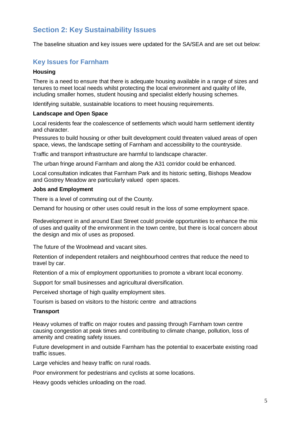# **Section 2: Key Sustainability Issues**

The baseline situation and key issues were updated for the SA/SEA and are set out below:

# **Key Issues for Farnham**

#### **Housing**

There is a need to ensure that there is adequate housing available in a range of sizes and tenures to meet local needs whilst protecting the local environment and quality of life, including smaller homes, student housing and specialist elderly housing schemes.

Identifying suitable, sustainable locations to meet housing requirements.

#### **Landscape and Open Space**

Local residents fear the coalescence of settlements which would harm settlement identity and character.

Pressures to build housing or other built development could threaten valued areas of open space, views, the landscape setting of Farnham and accessibility to the countryside.

Traffic and transport infrastructure are harmful to landscape character.

The urban fringe around Farnham and along the A31 corridor could be enhanced.

Local consultation indicates that Farnham Park and its historic setting, Bishops Meadow and Gostrey Meadow are particularly valued open spaces.

#### **Jobs and Employment**

There is a level of commuting out of the County.

Demand for housing or other uses could result in the loss of some employment space.

Redevelopment in and around East Street could provide opportunities to enhance the mix of uses and quality of the environment in the town centre, but there is local concern about the design and mix of uses as proposed.

The future of the Woolmead and vacant sites.

Retention of independent retailers and neighbourhood centres that reduce the need to travel by car.

Retention of a mix of employment opportunities to promote a vibrant local economy.

Support for small businesses and agricultural diversification.

Perceived shortage of high quality employment sites.

Tourism is based on visitors to the historic centre and attractions

#### **Transport**

Heavy volumes of traffic on major routes and passing through Farnham town centre causing congestion at peak times and contributing to climate change, pollution, loss of amenity and creating safety issues.

Future development in and outside Farnham has the potential to exacerbate existing road traffic issues.

Large vehicles and heavy traffic on rural roads.

Poor environment for pedestrians and cyclists at some locations.

Heavy goods vehicles unloading on the road.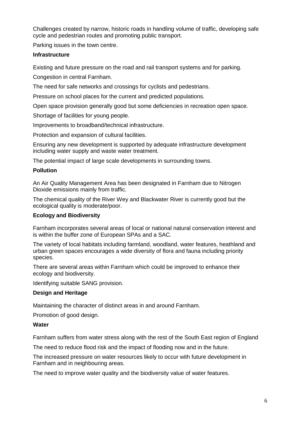Challenges created by narrow, historic roads in handling volume of traffic, developing safe cycle and pedestrian routes and promoting public transport.

Parking issues in the town centre.

#### **Infrastructure**

Existing and future pressure on the road and rail transport systems and for parking.

Congestion in central Farnham.

The need for safe networks and crossings for cyclists and pedestrians.

Pressure on school places for the current and predicted populations.

Open space provision generally good but some deficiencies in recreation open space.

Shortage of facilities for young people.

Improvements to broadband/technical infrastructure.

Protection and expansion of cultural facilities.

Ensuring any new development is supported by adequate infrastructure development including water supply and waste water treatment.

The potential impact of large scale developments in surrounding towns.

#### **Pollution**

An Air Quality Management Area has been designated in Farnham due to Nitrogen Dioxide emissions mainly from traffic.

The chemical quality of the River Wey and Blackwater River is currently good but the ecological quality is moderate/poor.

#### **Ecology and Biodiversity**

Farnham incorporates several areas of local or national natural conservation interest and is within the buffer zone of European SPAs and a SAC.

The variety of local habitats including farmland, woodland, water features, heathland and urban green spaces encourages a wide diversity of flora and fauna including priority species.

There are several areas within Farnham which could be improved to enhance their ecology and biodiversity.

Identifying suitable SANG provision.

#### **Design and Heritage**

Maintaining the character of distinct areas in and around Farnham.

Promotion of good design.

#### **Water**

Farnham suffers from water stress along with the rest of the South East region of England

The need to reduce flood risk and the impact of flooding now and in the future.

The increased pressure on water resources likely to occur with future development in Farnham and in neighbouring areas.

The need to improve water quality and the biodiversity value of water features.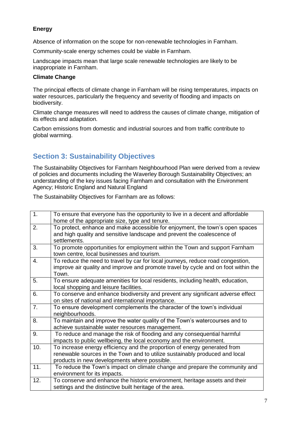# **Energy**

Absence of information on the scope for non-renewable technologies in Farnham.

Community-scale energy schemes could be viable in Farnham.

Landscape impacts mean that large scale renewable technologies are likely to be inappropriate in Farnham.

#### **Climate Change**

The principal effects of climate change in Farnham will be rising temperatures, impacts on water resources, particularly the frequency and severity of flooding and impacts on biodiversity.

Climate change measures will need to address the causes of climate change, mitigation of its effects and adaptation.

Carbon emissions from domestic and industrial sources and from traffic contribute to global warming.

# **Section 3: Sustainability Objectives**

The Sustainability Objectives for Farnham Neighbourhood Plan were derived from a review of policies and documents including the Waverley Borough Sustainability Objectives; an understanding of the key issues facing Farnham and consultation with the Environment Agency; Historic England and Natural England

The Sustainability Objectives for Farnham are as follows:

| 1.  | To ensure that everyone has the opportunity to live in a decent and affordable     |
|-----|------------------------------------------------------------------------------------|
|     | home of the appropriate size, type and tenure.                                     |
| 2.  | To protect, enhance and make accessible for enjoyment, the town's open spaces      |
|     | and high quality and sensitive landscape and prevent the coalescence of            |
|     | settlements.                                                                       |
| 3.  | To promote opportunities for employment within the Town and support Farnham        |
|     | town centre, local businesses and tourism.                                         |
| 4.  | To reduce the need to travel by car for local journeys, reduce road congestion,    |
|     | improve air quality and improve and promote travel by cycle and on foot within the |
|     | Town.                                                                              |
| 5.  | To ensure adequate amenities for local residents, including health, education,     |
|     | local shopping and leisure facilities.                                             |
| 6.  | To conserve and enhance biodiversity and prevent any significant adverse effect    |
|     | on sites of national and international importance.                                 |
| 7.  | To ensure development complements the character of the town's individual           |
|     | neighbourhoods.                                                                    |
| 8.  | To maintain and improve the water quality of the Town's watercourses and to        |
|     | achieve sustainable water resources management.                                    |
| 9.  | To reduce and manage the risk of flooding and any consequential harmful            |
|     | impacts to public wellbeing, the local economy and the environment.                |
| 10. | To increase energy efficiency and the proportion of energy generated from          |
|     | renewable sources in the Town and to utilize sustainably produced and local        |
|     | products in new developments where possible.                                       |
| 11. | To reduce the Town's impact on climate change and prepare the community and        |
|     | environment for its impacts.                                                       |
| 12. | To conserve and enhance the historic environment, heritage assets and their        |
|     | settings and the distinctive built heritage of the area.                           |
|     |                                                                                    |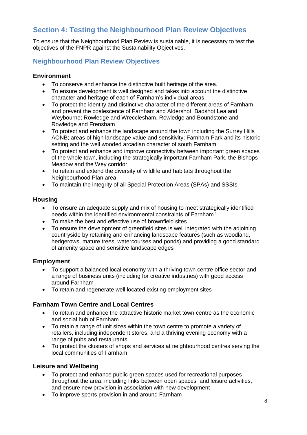# **Section 4: Testing the Neighbourhood Plan Review Objectives**

To ensure that the Neighbourhood Plan Review is sustainable, it is necessary to test the objectives of the FNPR against the Sustainability Objectives.

# **Neighbourhood Plan Review Objectives**

## **Environment**

- To conserve and enhance the distinctive built heritage of the area.
- To ensure development is well designed and takes into account the distinctive character and heritage of each of Farnham's individual areas.
- To protect the identity and distinctive character of the different areas of Farnham and prevent the coalescence of Farnham and Aldershot; Badshot Lea and Weybourne; Rowledge and Wrecclesham, Rowledge and Boundstone and Rowledge and Frensham
- To protect and enhance the landscape around the town including the Surrey Hills AONB; areas of high landscape value and sensitivity; Farnham Park and its historic setting and the well wooded arcadian character of south Farnham
- To protect and enhance and improve connectivity between important green spaces of the whole town, including the strategically important Farnham Park, the Bishops Meadow and the Wey corridor
- To retain and extend the diversity of wildlife and habitats throughout the Neighbourhood Plan area
- To maintain the integrity of all Special Protection Areas (SPAs) and SSSIs

#### **Housing**

- To ensure an adequate supply and mix of housing to meet strategically identified needs within the identified environmental constraints of Farnham.'
- To make the best and effective use of brownfield sites
- To ensure the development of greenfield sites is well integrated with the adjoining countryside by retaining and enhancing landscape features (such as woodland, hedgerows, mature trees, watercourses and ponds) and providing a good standard of amenity space and sensitive landscape edges

## **Employment**

- To support a balanced local economy with a thriving town centre office sector and a range of business units (including for creative industries) with good access around Farnham
- To retain and regenerate well located existing employment sites

## **Farnham Town Centre and Local Centres**

- To retain and enhance the attractive historic market town centre as the economic and social hub of Farnham
- To retain a range of unit sizes within the town centre to promote a variety of retailers, including independent stores, and a thriving evening economy with a range of pubs and restaurants
- To protect the clusters of shops and services at neighbourhood centres serving the local communities of Farnham

## **Leisure and Wellbeing**

- To protect and enhance public green spaces used for recreational purposes throughout the area, including links between open spaces and leisure activities, and ensure new provision in association with new development
- To improve sports provision in and around Farnham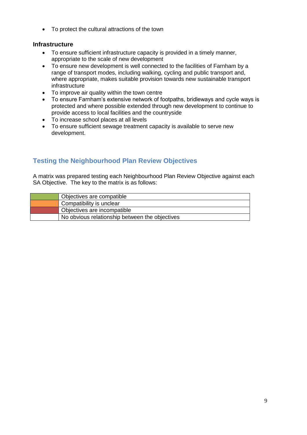• To protect the cultural attractions of the town

# **Infrastructure**

- To ensure sufficient infrastructure capacity is provided in a timely manner, appropriate to the scale of new development
- To ensure new development is well connected to the facilities of Farnham by a range of transport modes, including walking, cycling and public transport and, where appropriate, makes suitable provision towards new sustainable transport infrastructure
- To improve air quality within the town centre
- To ensure Farnham's extensive network of footpaths, bridleways and cycle ways is protected and where possible extended through new development to continue to provide access to local facilities and the countryside
- To increase school places at all levels
- To ensure sufficient sewage treatment capacity is available to serve new development.

# **Testing the Neighbourhood Plan Review Objectives**

A matrix was prepared testing each Neighbourhood Plan Review Objective against each SA Objective. The key to the matrix is as follows:

| Objectives are compatible                      |
|------------------------------------------------|
| Compatibility is unclear                       |
| Objectives are incompatible                    |
| No obvious relationship between the objectives |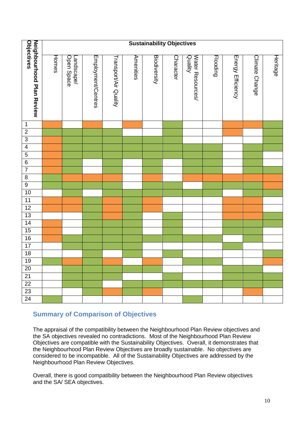|                                                | <b>Sustainability Objectives</b> |                         |                    |                       |           |                     |           |                             |          |                   |                |          |
|------------------------------------------------|----------------------------------|-------------------------|--------------------|-----------------------|-----------|---------------------|-----------|-----------------------------|----------|-------------------|----------------|----------|
|                                                |                                  |                         |                    |                       |           |                     |           |                             |          |                   |                |          |
| <b>Objectives</b><br>Neighbourhood Plan Review | Homes                            | Open Space<br>andscape/ | Employment/Centres | Transport/Air Quality | Amenities | <b>Biodiversity</b> | Character | Water Resources/<br>Quality | Flooding | Energy Efficiency | Climate Change | Heritage |
| $\mathbf 1$                                    |                                  |                         |                    |                       |           |                     |           |                             |          |                   |                |          |
| $\overline{2}$                                 |                                  |                         |                    |                       |           |                     |           |                             |          |                   |                |          |
| $\overline{3}$                                 |                                  |                         |                    |                       |           |                     |           |                             |          |                   |                |          |
| $\overline{4}$                                 |                                  |                         |                    |                       |           |                     |           |                             |          |                   |                |          |
| $\overline{5}$                                 |                                  |                         |                    |                       |           |                     |           |                             |          |                   |                |          |
| $\overline{6}$                                 |                                  |                         |                    |                       |           |                     |           |                             |          |                   |                |          |
| $\overline{7}$                                 |                                  |                         |                    |                       |           |                     |           |                             |          |                   |                |          |
| $\overline{8}$                                 |                                  |                         |                    |                       |           |                     |           |                             |          |                   |                |          |
| $\overline{9}$                                 |                                  |                         |                    |                       |           |                     |           |                             |          |                   |                |          |
| 10                                             |                                  |                         |                    |                       |           |                     |           |                             |          |                   |                |          |
| $\frac{11}{12}$<br>$\frac{13}{14}$             |                                  |                         |                    |                       |           |                     |           |                             |          |                   |                |          |
|                                                |                                  |                         |                    |                       |           |                     |           |                             |          |                   |                |          |
|                                                |                                  |                         |                    |                       |           |                     |           |                             |          |                   |                |          |
|                                                |                                  |                         |                    |                       |           |                     |           |                             |          |                   |                |          |
| 15                                             |                                  |                         |                    |                       |           |                     |           |                             |          |                   |                |          |
| $\frac{16}{17}$                                |                                  |                         |                    |                       |           |                     |           |                             |          |                   |                |          |
|                                                |                                  |                         |                    |                       |           |                     |           |                             |          |                   |                |          |
| 18                                             |                                  |                         |                    |                       |           |                     |           |                             |          |                   |                |          |
| 19                                             |                                  |                         |                    |                       |           |                     |           |                             |          |                   |                |          |
| $\overline{20}$                                |                                  |                         |                    |                       |           |                     |           |                             |          |                   |                |          |
| 21                                             |                                  |                         |                    |                       |           |                     |           |                             |          |                   |                |          |
| $\overline{22}$                                |                                  |                         |                    |                       |           |                     |           |                             |          |                   |                |          |
| $\overline{23}$                                |                                  |                         |                    |                       |           |                     |           |                             |          |                   |                |          |
| 24                                             |                                  |                         |                    |                       |           |                     |           |                             |          |                   |                |          |

# **Summary of Comparison of Objectives**

The appraisal of the compatibility between the Neighbourhood Plan Review objectives and the SA objectives revealed no contradictions. Most of the Neighbourhood Plan Review Objectives are compatible with the Sustainability Objectives. Overall, it demonstrates that the Neighbourhood Plan Review Objectives are broadly sustainable. No objectives are considered to be incompatible. All of the Sustainability Objectives are addressed by the Neighbourhood Plan Review Objectives.

Overall, there is good compatibility between the Neighbourhood Plan Review objectives and the SA/ SEA objectives.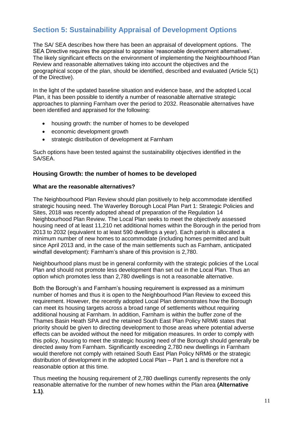# **Section 5: Sustainability Appraisal of Development Options**

The SA/ SEA describes how there has been an appraisal of development options. The SEA Directive requires the appraisal to appraise 'reasonable development alternatives'. The likely significant effects on the environment of implementing the Neighbourhhood Plan Review and reasonable alternatives taking into account the objectives and the geographical scope of the plan, should be identified, described and evaluated (Article 5(1) of the Directive).

In the light of the updated baseline situation and evidence base, and the adopted Local Plan, it has been possible to identify a number of reasonable alternative strategic approaches to planning Farnham over the period to 2032. Reasonable alternatives have been identified and appraised for the following:

- housing growth: the number of homes to be developed
- economic development growth
- strategic distribution of development at Farnham

Such options have been tested against the sustainability objectives identified in the SA/SEA.

## **Housing Growth: the number of homes to be developed**

#### **What are the reasonable alternatives?**

The Neighbourhood Plan Review should plan positively to help accommodate identified strategic housing need. The Waverley Borough Local Plan Part 1: Strategic Policies and Sites, 2018 was recently adopted ahead of preparation of the Regulation 14 Neighbourhood Plan Review. The Local Plan seeks to meet the objectively assessed housing need of at least 11,210 net additional homes within the Borough in the period from 2013 to 2032 (equivalent to at least 590 dwellings a year). Each parish is allocated a minimum number of new homes to accommodate (including homes permitted and built since April 2013 and, in the case of the main settlements such as Farnham, anticipated windfall development): Farnham's share of this provision is 2,780.

Neighbourhood plans must be in general conformity with the strategic policies of the Local Plan and should not promote less development than set out in the Local Plan. Thus an option which promotes less than 2,780 dwellings is not a reasonable alternative.

Both the Borough's and Farnham's housing requirement is expressed as a minimum number of homes and thus it is open to the Neighbourhood Plan Review to exceed this requirement. However, the recently adopted Local Plan demonstrates how the Borough can meet its housing targets across a broad range of settlements without requiring additional housing at Farnham. In addition, Farnham is within the buffer zone of the Thames Basin Heath SPA and the retained South East Plan Policy NRM6 states that priority should be given to directing development to those areas where potential adverse effects can be avoided without the need for mitigation measures. In order to comply with this policy, housing to meet the strategic housing need of the Borough should generally be directed away from Farnham. Significantly exceeding 2,780 new dwellings in Farnham would therefore not comply with retained South East Plan Policy NRM6 or the strategic distribution of development in the adopted Local Plan – Part 1 and is therefore not a reasonable option at this time.

Thus meeting the housing requirement of 2,780 dwellings currently represents the only reasonable alternative for the number of new homes within the Plan area **(Alternative 1.1)**.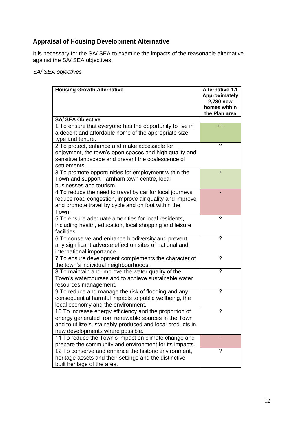# **Appraisal of Housing Development Alternative**

It is necessary for the SA/ SEA to examine the impacts of the reasonable alternative against the SA/ SEA objectives.

*SA/ SEA objectives*

| <b>Housing Growth Alternative</b>                         | <b>Alternative 1.1</b><br>Approximately<br>2,780 new<br>homes within<br>the Plan area |
|-----------------------------------------------------------|---------------------------------------------------------------------------------------|
| <b>SA/ SEA Objective</b>                                  |                                                                                       |
| 1 To ensure that everyone has the opportunity to live in  | $^{++}$                                                                               |
| a decent and affordable home of the appropriate size,     |                                                                                       |
| type and tenure.                                          |                                                                                       |
| 2 To protect, enhance and make accessible for             | ?                                                                                     |
| enjoyment, the town's open spaces and high quality and    |                                                                                       |
| sensitive landscape and prevent the coalescence of        |                                                                                       |
| settlements.                                              |                                                                                       |
| 3 To promote opportunities for employment within the      | $\ddot{}$                                                                             |
| Town and support Farnham town centre, local               |                                                                                       |
| businesses and tourism.                                   |                                                                                       |
| 4 To reduce the need to travel by car for local journeys, |                                                                                       |
| reduce road congestion, improve air quality and improve   |                                                                                       |
| and promote travel by cycle and on foot within the        |                                                                                       |
| Town.                                                     |                                                                                       |
| 5 To ensure adequate amenities for local residents,       | ?                                                                                     |
| including health, education, local shopping and leisure   |                                                                                       |
| facilities.                                               |                                                                                       |
| 6 To conserve and enhance biodiversity and prevent        | ?                                                                                     |
| any significant adverse effect on sites of national and   |                                                                                       |
| international importance.                                 |                                                                                       |
| 7 To ensure development complements the character of      | ?                                                                                     |
| the town's individual neighbourhoods.                     |                                                                                       |
| 8 To maintain and improve the water quality of the        | 7                                                                                     |
| Town's watercourses and to achieve sustainable water      |                                                                                       |
| resources management.                                     |                                                                                       |
| 9 To reduce and manage the risk of flooding and any       | ?                                                                                     |
| consequential harmful impacts to public wellbeing, the    |                                                                                       |
| local economy and the environment.                        |                                                                                       |
| 10 To increase energy efficiency and the proportion of    | ?                                                                                     |
| energy generated from renewable sources in the Town       |                                                                                       |
| and to utilize sustainably produced and local products in |                                                                                       |
| new developments where possible.                          |                                                                                       |
| 11 To reduce the Town's impact on climate change and      |                                                                                       |
| prepare the community and environment for its impacts.    |                                                                                       |
| 12 To conserve and enhance the historic environment,      | ?                                                                                     |
| heritage assets and their settings and the distinctive    |                                                                                       |
| built heritage of the area.                               |                                                                                       |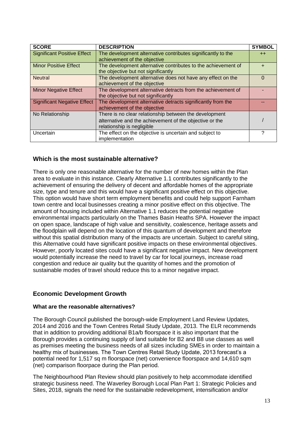| <b>SCORE</b>                       | <b>DESCRIPTION</b>                                            | <b>SYMBOL</b> |
|------------------------------------|---------------------------------------------------------------|---------------|
| <b>Significant Positive Effect</b> | The development alternative contributes significantly to the  | $++$          |
|                                    | achievement of the objective                                  |               |
| <b>Minor Positive Effect</b>       | The development alternative contributes to the achievement of | ٠             |
|                                    | the objective but not significantly                           |               |
| <b>Neutral</b>                     | The development alternative does not have any effect on the   | $\Omega$      |
|                                    | achievement of the objective                                  |               |
| <b>Minor Negative Effect</b>       | The development alternative detracts from the achievement of  |               |
|                                    | the objective but not significantly                           |               |
| <b>Significant Negative Effect</b> | The development alternative detracts significantly from the   |               |
|                                    | achievement of the objective                                  |               |
| No Relationship                    | There is no clear relationship between the development        |               |
|                                    | alternative and the achievement of the objective or the       |               |
|                                    | relationship is negligible                                    |               |
| Uncertain                          | The effect on the objective is uncertain and subject to       | ?             |
|                                    | implementation                                                |               |

## **Which is the most sustainable alternative?**

There is only one reasonable alternative for the number of new homes within the Plan area to evaluate in this instance. Clearly Alternative 1.1 contributes significantly to the achievement of ensuring the delivery of decent and affordable homes of the appropriate size, type and tenure and this would have a significant positive effect on this objective. This option would have short term employment benefits and could help support Farnham town centre and local businesses creating a minor positive effect on this objective. The amount of housing included within Alternative 1.1 reduces the potential negative environmental impacts particularly on the Thames Basin Heaths SPA. However the impact on open space, landscape of high value and sensitivity, coalescence, heritage assets and the floodplain will depend on the location of this quantum of development and therefore without this spatial distribution many of the impacts are uncertain. Subject to careful siting, this Alternative could have significant positive impacts on these environmental objectives. However, poorly located sites could have a significant negative impact. New development would potentially increase the need to travel by car for local journeys, increase road congestion and reduce air quality but the quantity of homes and the promotion of sustainable modes of travel should reduce this to a minor negative impact.

## **Economic Development Growth**

#### **What are the reasonable alternatives?**

The Borough Council published the borough-wide Employment Land Review Updates, 2014 and 2016 and the Town Centres Retail Study Update, 2013. The ELR recommends that in addition to providing additional B1a/b floorspace it is also important that the Borough provides a continuing supply of land suitable for B2 and B8 use classes as well as premises meeting the business needs of all sizes including SMEs in order to maintain a healthy mix of businesses. The Town Centres Retail Study Update, 2013 forecast's a potential need for 1,517 sq m floorspace (net) convenience floorspace and 14,610 sqm (net) comparison floorpace during the Plan period.

The Neighbourhood Plan Review should plan positively to help accommodate identified strategic business need. The Waverley Borough Local Plan Part 1: Strategic Policies and Sites, 2018, signals the need for the sustainable redevelopment, intensification and/or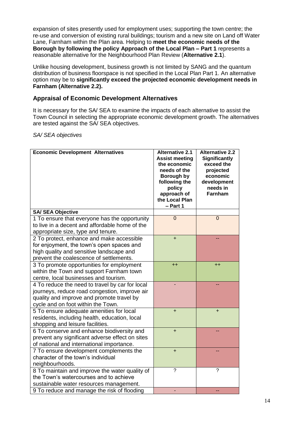expansion of sites presently used for employment uses; supporting the town centre; the re-use and conversion of existing rural buildings; tourism and a new site on Land off Water Lane, Farnham within the Plan area. Helping to **meet the economic needs of the Borough by following the policy Approach of the Local Plan – Part 1** represents a reasonable alternative for the Neighbourhood Plan Review (**Alternative 2.1**).

Unlike housing development, business growth is not limited by SANG and the quantum distribution of business floorspace is not specified in the Local Plan Part 1. An alternative option may be to **significantly exceed the projected economic development needs in Farnham (Alternative 2.2).** 

# **Appraisal of Economic Development Alternatives**

It is necessary for the SA/ SEA to examine the impacts of each alternative to assist the Town Council in selecting the appropriate economic development growth. The alternatives are tested against the SA/ SEA objectives.

#### *SA/ SEA objectives*

| <b>Economic Development Alternatives</b>                                                                                                                                            | <b>Alternative 2.1</b><br><b>Assist meeting</b><br>the economic<br>needs of the<br>Borough by<br>following the<br>policy<br>approach of<br>the Local Plan<br>- Part 1 | <b>Alternative 2.2</b><br><b>Significantly</b><br>exceed the<br>projected<br>economic<br>development<br>needs in<br><b>Farnham</b> |
|-------------------------------------------------------------------------------------------------------------------------------------------------------------------------------------|-----------------------------------------------------------------------------------------------------------------------------------------------------------------------|------------------------------------------------------------------------------------------------------------------------------------|
| <b>SA/ SEA Objective</b>                                                                                                                                                            |                                                                                                                                                                       |                                                                                                                                    |
| 1 To ensure that everyone has the opportunity<br>to live in a decent and affordable home of the<br>appropriate size, type and tenure.                                               | $\mathbf 0$                                                                                                                                                           | $\mathbf 0$                                                                                                                        |
| 2 To protect, enhance and make accessible<br>for enjoyment, the town's open spaces and<br>high quality and sensitive landscape and<br>prevent the coalescence of settlements.       | $\ddot{}$                                                                                                                                                             |                                                                                                                                    |
| 3 To promote opportunities for employment<br>within the Town and support Farnham town<br>centre, local businesses and tourism.                                                      | $++$                                                                                                                                                                  | $++$                                                                                                                               |
| 4 To reduce the need to travel by car for local<br>journeys, reduce road congestion, improve air<br>quality and improve and promote travel by<br>cycle and on foot within the Town. |                                                                                                                                                                       |                                                                                                                                    |
| 5 To ensure adequate amenities for local<br>residents, including health, education, local<br>shopping and leisure facilities.                                                       | $\ddot{}$                                                                                                                                                             | $\ddot{}$                                                                                                                          |
| 6 To conserve and enhance biodiversity and<br>prevent any significant adverse effect on sites<br>of national and international importance.                                          | $\ddot{}$                                                                                                                                                             |                                                                                                                                    |
| 7 To ensure development complements the<br>character of the town's individual<br>neighbourhoods.                                                                                    | $+$                                                                                                                                                                   |                                                                                                                                    |
| 8 To maintain and improve the water quality of<br>the Town's watercourses and to achieve<br>sustainable water resources management.                                                 | $\gamma$                                                                                                                                                              | $\gamma$                                                                                                                           |
| 9 To reduce and manage the risk of flooding                                                                                                                                         |                                                                                                                                                                       |                                                                                                                                    |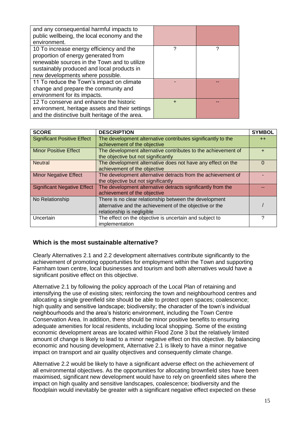| and any consequential harmful impacts to<br>public wellbeing, the local economy and the<br>environment.                                                                                                           |   |   |
|-------------------------------------------------------------------------------------------------------------------------------------------------------------------------------------------------------------------|---|---|
| 10 To increase energy efficiency and the<br>proportion of energy generated from<br>renewable sources in the Town and to utilize<br>sustainably produced and local products in<br>new developments where possible. | 2 | ႒ |
| 11 To reduce the Town's impact on climate<br>change and prepare the community and<br>environment for its impacts.                                                                                                 |   |   |
| 12 To conserve and enhance the historic<br>environment, heritage assets and their settings<br>and the distinctive built heritage of the area.                                                                     |   |   |

| <b>SCORE</b>                       | <b>DESCRIPTION</b>                                                                                                                              | <b>SYMBOL</b> |
|------------------------------------|-------------------------------------------------------------------------------------------------------------------------------------------------|---------------|
| <b>Significant Positive Effect</b> | The development alternative contributes significantly to the<br>achievement of the objective                                                    | $++$          |
| <b>Minor Positive Effect</b>       | The development alternative contributes to the achievement of<br>the objective but not significantly                                            | ÷             |
| <b>Neutral</b>                     | The development alternative does not have any effect on the<br>achievement of the objective                                                     | $\Omega$      |
| <b>Minor Negative Effect</b>       | The development alternative detracts from the achievement of<br>the objective but not significantly                                             |               |
| <b>Significant Negative Effect</b> | The development alternative detracts significantly from the<br>achievement of the objective                                                     |               |
| No Relationship                    | There is no clear relationship between the development<br>alternative and the achievement of the objective or the<br>relationship is negligible |               |
| Uncertain                          | The effect on the objective is uncertain and subject to<br>implementation                                                                       | 2             |

## **Which is the most sustainable alternative?**

Clearly Alternatives 2.1 and 2.2 development alternatives contribute significantly to the achievement of promoting opportunities for employment within the Town and supporting Farnham town centre, local businesses and tourism and both alternatives would have a significant positive effect on this objective.

Alternative 2.1 by following the policy approach of the Local Plan of retaining and intensifying the use of existing sites; reinforcing the town and neighbourhood centres and allocating a single greenfield site should be able to protect open spaces; coalescence; high quality and sensitive landscape; biodiversity; the character of the town's individual neighbourhoods and the area's historic environment, including the Town Centre Conservation Area. In addition, there should be minor positive benefits to ensuring adequate amenities for local residents, including local shopping. Some of the existing economic development areas are located within Flood Zone 3 but the relatively limited amount of change is likely to lead to a minor negative effect on this objective. By balancing economic and housing development, Alternative 2.1 is likely to have a minor negative impact on transport and air quality objectives and consequently climate change.

Alternative 2.2 would be likely to have a significant adverse effect on the achievement of all environmental objectives. As the opportunities for allocating brownfield sites have been maximised, significant new development would have to rely on greenfield sites where the impact on high quality and sensitive landscapes, coalescence; biodiversity and the floodplain would inevitably be greater with a significant negative effect expected on these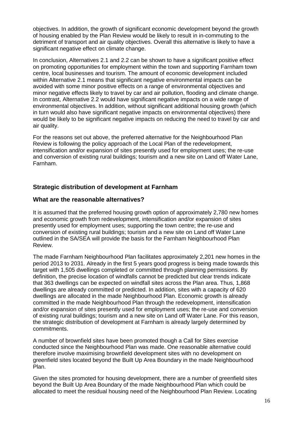objectives. In addition, the growth of significant economic development beyond the growth of housing enabled by the Plan Review would be likely to result in in-commuting to the detriment of transport and air quality objectives. Overall this alternative is likely to have a significant negative effect on climate change.

In conclusion, Alternatives 2.1 and 2.2 can be shown to have a significant positive effect on promoting opportunities for employment within the town and supporting Farnham town centre, local businesses and tourism. The amount of economic development included within Alternative 2.1 means that significant negative environmental impacts can be avoided with some minor positive effects on a range of environmental objectives and minor negative effects likely to travel by car and air pollution, flooding and climate change. In contrast, Alternative 2.2 would have significant negative impacts on a wide range of environmental objectives. In addition, without significant additional housing growth (which in turn would also have significant negative impacts on environmental objectives) there would be likely to be significant negative impacts on reducing the need to travel by car and air quality.

For the reasons set out above, the preferred alternative for the Neighbourhood Plan Review is following the policy approach of the Local Plan of the redevelopment, intensification and/or expansion of sites presently used for employment uses; the re-use and conversion of existing rural buildings; tourism and a new site on Land off Water Lane, Farnham.

## **Strategic distribution of development at Farnham**

#### **What are the reasonable alternatives?**

It is assumed that the preferred housing growth option of approximately 2,780 new homes and economic growth from redevelopment, intensification and/or expansion of sites presently used for employment uses; supporting the town centre; the re-use and conversion of existing rural buildings; tourism and a new site on Land off Water Lane outlined in the SA/SEA will provide the basis for the Farnham Neighbourhood Plan Review.

The made Farnham Neighbourhood Plan facilitates approximately 2,201 new homes in the period 2013 to 2031. Already in the first 5 years good progress is being made towards this target with 1,505 dwellings completed or committed through planning permissions. By definition, the precise location of windfalls cannot be predicted but clear trends indicate that 363 dwellings can be expected on windfall sites across the Plan area. Thus, 1,868 dwellings are already committed or predicted. In addition, sites with a capacity of 620 dwellings are allocated in the made Neighbourhood Plan. Economic growth is already committed in the made Neighbourhood Plan through the redevelopment, intensification and/or expansion of sites presently used for employment uses; the re-use and conversion of existing rural buildings; tourism and a new site on Land off Water Lane. For this reason, the strategic distribution of development at Farnham is already largely determined by commitments.

A number of brownfield sites have been promoted though a Call for Sites exercise conducted since the Neighbourhood Plan was made. One reasonable alternative could therefore involve maximising brownfield development sites with no development on greenfield sites located beyond the Built Up Area Boundary in the made Neighbourhood Plan.

Given the sites promoted for housing development, there are a number of greenfield sites beyond the Built Up Area Boundary of the made Neighbourhood Plan which could be allocated to meet the residual housing need of the Neighbourhood Plan Review. Locating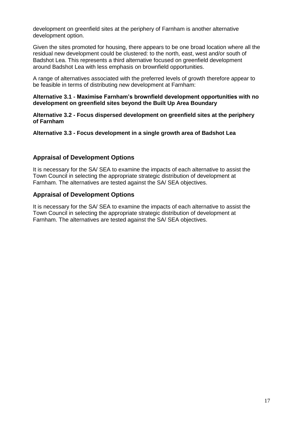development on greenfield sites at the periphery of Farnham is another alternative development option.

Given the sites promoted for housing, there appears to be one broad location where all the residual new development could be clustered: to the north, east, west and/or south of Badshot Lea. This represents a third alternative focused on greenfield development around Badshot Lea with less emphasis on brownfield opportunities.

A range of alternatives associated with the preferred levels of growth therefore appear to be feasible in terms of distributing new development at Farnham:

#### **Alternative 3.1 - Maximise Farnham's brownfield development opportunities with no development on greenfield sites beyond the Built Up Area Boundary**

**Alternative 3.2 - Focus dispersed development on greenfield sites at the periphery of Farnham**

#### **Alternative 3.3 - Focus development in a single growth area of Badshot Lea**

#### **Appraisal of Development Options**

It is necessary for the SA/ SEA to examine the impacts of each alternative to assist the Town Council in selecting the appropriate strategic distribution of development at Farnham. The alternatives are tested against the SA/ SEA objectives.

#### **Appraisal of Development Options**

It is necessary for the SA/ SEA to examine the impacts of each alternative to assist the Town Council in selecting the appropriate strategic distribution of development at Farnham. The alternatives are tested against the SA/ SEA objectives.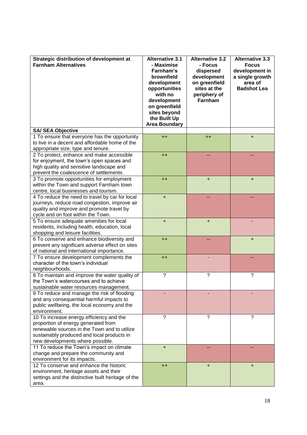| Strategic distribution of development at<br><b>Farnham Alternatives</b>       | <b>Alternative 3.1</b><br>- Maximise<br>Farnham's<br>brownfield<br>development<br>opportunities<br>with no<br>development<br>on greenfield<br>sites beyond<br>the Built Up<br><b>Area Boundary</b> | <b>Alternative 3.2</b><br>- Focus<br>dispersed<br>development<br>on greenfield<br>sites at the<br>periphery of<br>Farnham | <b>Alternative 3.3</b><br><b>Focus</b><br>development in<br>a single growth<br>area of<br><b>Badshot Lea</b> |
|-------------------------------------------------------------------------------|----------------------------------------------------------------------------------------------------------------------------------------------------------------------------------------------------|---------------------------------------------------------------------------------------------------------------------------|--------------------------------------------------------------------------------------------------------------|
| <b>SA/ SEA Objective</b>                                                      |                                                                                                                                                                                                    |                                                                                                                           |                                                                                                              |
| 1 To ensure that everyone has the opportunity                                 | $++$                                                                                                                                                                                               | $++$                                                                                                                      | $\ddot{}$                                                                                                    |
| to live in a decent and affordable home of the                                |                                                                                                                                                                                                    |                                                                                                                           |                                                                                                              |
| appropriate size, type and tenure.                                            |                                                                                                                                                                                                    |                                                                                                                           |                                                                                                              |
| 2 To protect, enhance and make accessible                                     | $++$                                                                                                                                                                                               | --                                                                                                                        |                                                                                                              |
| for enjoyment, the town's open spaces and                                     |                                                                                                                                                                                                    |                                                                                                                           |                                                                                                              |
| high quality and sensitive landscape and                                      |                                                                                                                                                                                                    |                                                                                                                           |                                                                                                              |
| prevent the coalescence of settlements.                                       |                                                                                                                                                                                                    |                                                                                                                           |                                                                                                              |
| 3 To promote opportunities for employment                                     | $++$                                                                                                                                                                                               | $\ddot{}$                                                                                                                 | $\ddot{}$                                                                                                    |
| within the Town and support Farnham town                                      |                                                                                                                                                                                                    |                                                                                                                           |                                                                                                              |
| centre, local businesses and tourism.                                         |                                                                                                                                                                                                    |                                                                                                                           |                                                                                                              |
| 4 To reduce the need to travel by car for local                               | $\ddot{}$                                                                                                                                                                                          | ٠.                                                                                                                        |                                                                                                              |
| journeys, reduce road congestion, improve air                                 |                                                                                                                                                                                                    |                                                                                                                           |                                                                                                              |
| quality and improve and promote travel by                                     |                                                                                                                                                                                                    |                                                                                                                           |                                                                                                              |
| cycle and on foot within the Town.                                            |                                                                                                                                                                                                    |                                                                                                                           |                                                                                                              |
| 5 To ensure adequate amenities for local                                      | $\ddot{}$                                                                                                                                                                                          | $\ddot{}$                                                                                                                 |                                                                                                              |
| residents, including health, education, local                                 |                                                                                                                                                                                                    |                                                                                                                           |                                                                                                              |
| shopping and leisure facilities.                                              |                                                                                                                                                                                                    |                                                                                                                           |                                                                                                              |
| 6 To conserve and enhance biodiversity and                                    | $++$                                                                                                                                                                                               |                                                                                                                           | $\ddot{}$                                                                                                    |
| prevent any significant adverse effect on sites                               |                                                                                                                                                                                                    |                                                                                                                           |                                                                                                              |
| of national and international importance.                                     |                                                                                                                                                                                                    |                                                                                                                           |                                                                                                              |
| 7 To ensure development complements the<br>character of the town's individual | $++$                                                                                                                                                                                               |                                                                                                                           |                                                                                                              |
| neighbourhoods.                                                               |                                                                                                                                                                                                    |                                                                                                                           |                                                                                                              |
| 8 To maintain and improve the water quality of                                | ?                                                                                                                                                                                                  | ?                                                                                                                         | ?                                                                                                            |
| the Town's watercourses and to achieve                                        |                                                                                                                                                                                                    |                                                                                                                           |                                                                                                              |
| sustainable water resources management.                                       |                                                                                                                                                                                                    |                                                                                                                           |                                                                                                              |
| 9 To reduce and manage the risk of flooding                                   |                                                                                                                                                                                                    |                                                                                                                           |                                                                                                              |
| and any consequential harmful impacts to                                      |                                                                                                                                                                                                    |                                                                                                                           |                                                                                                              |
| public wellbeing, the local economy and the                                   |                                                                                                                                                                                                    |                                                                                                                           |                                                                                                              |
| environment.                                                                  |                                                                                                                                                                                                    |                                                                                                                           |                                                                                                              |
| 10 To increase energy efficiency and the                                      | ?                                                                                                                                                                                                  | ?                                                                                                                         | ?                                                                                                            |
| proportion of energy generated from                                           |                                                                                                                                                                                                    |                                                                                                                           |                                                                                                              |
| renewable sources in the Town and to utilize                                  |                                                                                                                                                                                                    |                                                                                                                           |                                                                                                              |
| sustainably produced and local products in                                    |                                                                                                                                                                                                    |                                                                                                                           |                                                                                                              |
| new developments where possible.                                              |                                                                                                                                                                                                    |                                                                                                                           |                                                                                                              |
| 11 To reduce the Town's impact on climate                                     | $\ddot{}$                                                                                                                                                                                          |                                                                                                                           |                                                                                                              |
| change and prepare the community and                                          |                                                                                                                                                                                                    |                                                                                                                           |                                                                                                              |
| environment for its impacts.                                                  |                                                                                                                                                                                                    |                                                                                                                           |                                                                                                              |
| 12 To conserve and enhance the historic                                       | $+$                                                                                                                                                                                                | $\ddot{}$                                                                                                                 | $\ddot{}$                                                                                                    |
| environment, heritage assets and their                                        |                                                                                                                                                                                                    |                                                                                                                           |                                                                                                              |
| settings and the distinctive built heritage of the                            |                                                                                                                                                                                                    |                                                                                                                           |                                                                                                              |
| area.                                                                         |                                                                                                                                                                                                    |                                                                                                                           |                                                                                                              |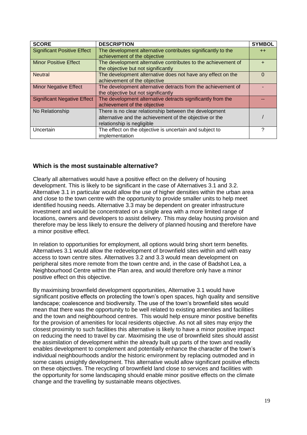| <b>SCORE</b>                       | <b>DESCRIPTION</b>                                                                                                                              | <b>SYMBOL</b> |
|------------------------------------|-------------------------------------------------------------------------------------------------------------------------------------------------|---------------|
| <b>Significant Positive Effect</b> | The development alternative contributes significantly to the<br>achievement of the objective                                                    | $++$          |
| <b>Minor Positive Effect</b>       | The development alternative contributes to the achievement of<br>the objective but not significantly                                            | $\ddot{}$     |
| <b>Neutral</b>                     | The development alternative does not have any effect on the<br>achievement of the objective                                                     | $\Omega$      |
| <b>Minor Negative Effect</b>       | The development alternative detracts from the achievement of<br>the objective but not significantly                                             |               |
| <b>Significant Negative Effect</b> | The development alternative detracts significantly from the<br>achievement of the objective                                                     |               |
| No Relationship                    | There is no clear relationship between the development<br>alternative and the achievement of the objective or the<br>relationship is negligible |               |
| Uncertain                          | The effect on the objective is uncertain and subject to<br>implementation                                                                       | ?             |

## **Which is the most sustainable alternative?**

Clearly all alternatives would have a positive effect on the delivery of housing development. This is likely to be significant in the case of Alternatives 3.1 and 3.2. Alternative 3.1 in particular would allow the use of higher densities within the urban area and close to the town centre with the opportunity to provide smaller units to help meet identified housing needs. Alternative 3.3 may be dependent on greater infrastructure investment and would be concentrated on a single area with a more limited range of locations, owners and developers to assist delivery. This may delay housing provision and therefore may be less likely to ensure the delivery of planned housing and therefore have a minor positive effect.

In relation to opportunities for employment, all options would bring short term benefits. Alternatives 3.1 would allow the redevelopment of brownfield sites within and with easy access to town centre sites. Alternatives 3.2 and 3.3 would mean development on peripheral sites more remote from the town centre and, in the case of Badshot Lea, a Neighbourhood Centre within the Plan area, and would therefore only have a minor positive effect on this objective.

By maximising brownfield development opportunities, Alternative 3.1 would have significant positive effects on protecting the town's open spaces, high quality and sensitive landscape; coalescence and biodiversity. The use of the town's brownfield sites would mean that there was the opportunity to be well related to existing amenities and facilities and the town and neighbourhood centres. This would help ensure minor positive benefits for the provision of amenities for local residents objective. As not all sites may enjoy the closest proximity to such facilities this alternative is likely to have a minor positive impact on reducing the need to travel by car. Maximising the use of brownfield sites should assist the assimilation of development within the already built up parts of the town and readily enables development to complement and potentially enhance the character of the town's individual neighbourhoods and/or the historic environment by replacing outmoded and in some cases unsightly development. This alternative would allow significant positive effects on these objectives. The recycling of brownfield land close to services and facilities with the opportunity for some landscaping should enable minor positive effects on the climate change and the travelling by sustainable means objectives.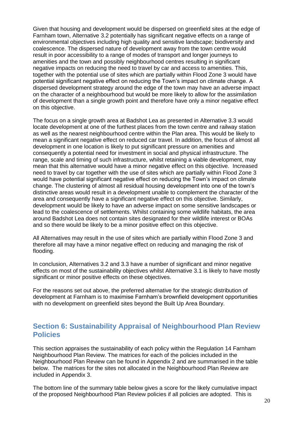Given that housing and development would be dispersed on greenfield sites at the edge of Farnham town, Alternative 3.2 potentially has significant negative effects on a range of environmental objectives including high quality and sensitive landscape; biodiversity and coalescence. The dispersed nature of development away from the town centre would result in poor accessibility to a range of modes of transport and longer journeys to amenities and the town and possibly neighbourhood centres resulting in significant negative impacts on reducing the need to travel by car and access to amenities. This, together with the potential use of sites which are partially within Flood Zone 3 would have potential significant negative effect on reducing the Town's impact on climate change. A dispersed development strategy around the edge of the town may have an adverse impact on the character of a neighbourhood but would be more likely to allow for the assimilation of development than a single growth point and therefore have only a minor negative effect on this objective.

The focus on a single growth area at Badshot Lea as presented in Alternative 3.3 would locate development at one of the furthest places from the town centre and railway station as well as the nearest neighbourhood centre within the Plan area. This would be likely to mean a significant negative effect on reduced car travel. In addition, the focus of almost all development in one location is likely to put significant pressure on amenities and consequently a potential need for investment in social and physical infrastructure. The range, scale and timing of such infrastructure, whilst retaining a viable development, may mean that this alternative would have a minor negative effect on this objective. Increased need to travel by car together with the use of sites which are partially within Flood Zone 3 would have potential significant negative effect on reducing the Town's impact on climate change. The clustering of almost all residual housing development into one of the town's distinctive areas would result in a development unable to complement the character of the area and consequently have a significant negative effect on this objective. Similarly, development would be likely to have an adverse impact on some sensitive landscapes or lead to the coalescence of settlements. Whilst containing some wildlife habitats, the area around Badshot Lea does not contain sites designated for their wildlife interest or BOAs and so there would be likely to be a minor positive effect on this objective.

All Alternatives may result in the use of sites which are partially within Flood Zone 3 and therefore all may have a minor negative effect on reducing and managing the risk of flooding.

In conclusion, Alternatives 3.2 and 3.3 have a number of significant and minor negative effects on most of the sustainability objectives whilst Alternative 3.1 is likely to have mostly significant or minor positive effects on these objectives.

For the reasons set out above, the preferred alternative for the strategic distribution of development at Farnham is to maximise Farnham's brownfield development opportunities with no development on greenfield sites beyond the Built Up Area Boundary.

# **Section 6: Sustainability Appraisal of Neighbourhood Plan Review Policies**

This section appraises the sustainability of each policy within the Regulation 14 Farnham Neighbourhood Plan Review. The matrices for each of the policies included in the Neighbourhood Plan Review can be found in Appendix 2 and are summarised in the table below. The matrices for the sites not allocated in the Neighbourhood Plan Review are included in Appendix 3.

The bottom line of the summary table below gives a score for the likely cumulative impact of the proposed Neighbourhood Plan Review policies if all policies are adopted. This is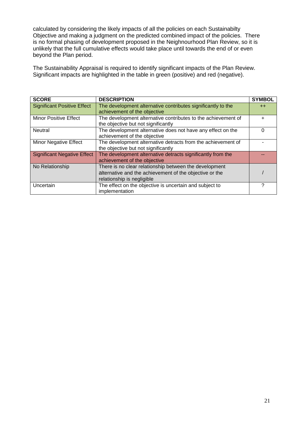calculated by considering the likely impacts of all the policies on each Sustainabilty Objective and making a judgment on the predicted combined impact of the policies. There is no formal phasing of development proposed in the Neighnourhood Plan Review, so it is unlikely that the full cumulative effects would take place until towards the end of or even beyond the Plan period.

The Sustainability Appraisal is required to identify significant impacts of the Plan Review. Significant impacts are highlighted in the table in green (positive) and red (negative).

| <b>SCORE</b>                       | <b>DESCRIPTION</b>                                            | <b>SYMBOL</b> |
|------------------------------------|---------------------------------------------------------------|---------------|
| <b>Significant Positive Effect</b> | The development alternative contributes significantly to the  | $++$          |
|                                    | achievement of the objective                                  |               |
| <b>Minor Positive Effect</b>       | The development alternative contributes to the achievement of | $\ddot{}$     |
|                                    | the objective but not significantly                           |               |
| <b>Neutral</b>                     | The development alternative does not have any effect on the   | 0             |
|                                    | achievement of the objective                                  |               |
| <b>Minor Negative Effect</b>       | The development alternative detracts from the achievement of  |               |
|                                    | the objective but not significantly                           |               |
| <b>Significant Negative Effect</b> | The development alternative detracts significantly from the   |               |
|                                    | achievement of the objective                                  |               |
| No Relationship                    | There is no clear relationship between the development        |               |
|                                    | alternative and the achievement of the objective or the       |               |
|                                    | relationship is negligible                                    |               |
| Uncertain                          | The effect on the objective is uncertain and subject to       | 7             |
|                                    | implementation                                                |               |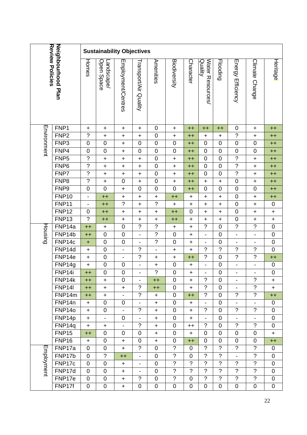| Review Policies<br>Neighbourhood Plan |                   | <b>Sustainability Objectives</b> |                            |                          |                                            |                          |                               |                            |                                  |                               |                                         |                              |                  |
|---------------------------------------|-------------------|----------------------------------|----------------------------|--------------------------|--------------------------------------------|--------------------------|-------------------------------|----------------------------|----------------------------------|-------------------------------|-----------------------------------------|------------------------------|------------------|
|                                       |                   | Homes                            | Open Space<br>-andscape/   | Employment/Centres       | Γransport/Air Quality                      | Amenities                | <b>Biodiversity</b>           | Character                  | Water Resources<br>Quality       | Flooding                      | Energy Efficiency                       | Climate Change               | Heritage         |
| Environment                           | FNP1              | $\mathbf +$                      | $\ddot{}$                  | $\ddagger$               | +                                          | 0                        | $\ddot{}$                     | $+$                        | $++$                             | $++$                          | 0                                       | ٠                            | $++$             |
|                                       | FNP <sub>2</sub>  | $\overline{?}$                   | $\ddagger$                 | $\ddagger$               | $\ddagger$                                 | $\pmb{0}$                | $\ddagger$                    | $++$                       | $\ddagger$                       | $\ddot{}$                     | $\boldsymbol{\cdot}$                    | $\ddagger$                   | $++$             |
|                                       | FNP <sub>3</sub>  | $\boldsymbol{0}$                 | $\boldsymbol{0}$           | $\ddot{}$                | $\pmb{0}$                                  | $\mathbf 0$              | $\boldsymbol{0}$              | $++$                       | $\mathbf 0$                      | $\mathbf 0$                   | $\pmb{0}$                               | 0                            | $++$             |
|                                       | FNP4              | $\mathbf 0$                      | $\mathbf 0$                | $\ddot{}$                | $\mathbf 0$                                | $\mathbf 0$              | $\boldsymbol{0}$              | $++$                       | $\mathbf 0$                      | $\mathbf 0$                   | $\mathbf 0$                             | $\mathbf 0$                  | $++$             |
|                                       | FNP <sub>5</sub>  | $\overline{\phantom{a}}$         | $\ddot{}$                  | $\ddot{}$                | $\ddot{}$                                  | $\mathbf 0$              | $\ddot{}$                     | $++$                       | $\mathbf 0$                      | $\mathbf 0$                   | $\overline{?}$                          | $\ddagger$                   | $++$             |
|                                       | FNP <sub>6</sub>  | $\overline{\phantom{a}}$         | $\ddagger$                 | $\ddagger$               | $\ddagger$                                 | $\mathbf 0$              | $\ddagger$                    | $++$                       | $\pmb{0}$                        | $\mathbf 0$                   | $\overline{?}$                          | $\ddot{}$                    | $++$             |
|                                       | FNP7              | $\overline{\phantom{a}}$         | $\ddagger$                 | $\ddagger$               | $\ddagger$                                 | $\mathbf 0$              | $\ddot{}$                     | $+$                        | 0                                | $\mathbf 0$                   | $\overline{?}$                          | $\ddagger$                   | $++$             |
|                                       | FNP8              | $\overline{\phantom{a}}$         | $\ddagger$                 | $\mathbf 0$              | $\ddot{}$                                  | $\mathbf 0$              | $\ddot{}$                     | $++$                       | $\ddot{}$                        | $\ddot{}$                     | $\mathbf 0$                             | $\ddagger$                   | $++$             |
|                                       | FNP9              | $\mathbf 0$                      | $\mathbf 0$                | $\ddot{}$                | $\mathbf 0$                                | $\mathbf 0$              | $\mathbf 0$                   | $++$                       | 0                                | $\mathbf 0$                   | $\mathbf 0$                             | 0                            | $++$             |
|                                       | FNP10             | $\blacksquare$                   | $++$                       | $\ddot{}$                | $\ddot{}$                                  | $\ddot{}$                | $++$                          | $\mathbf +$                | $\ddot{}$                        | $\ddot{}$                     | $\mathsf 0$                             | $\ddagger$                   | $++$             |
|                                       | FNP11             | $\overline{\phantom{a}}$         | $++$                       | $\overline{2}$           | $\ddot{}$                                  | $\overline{?}$           | $\ddot{}$                     | $\ddagger$                 | $\ddagger$                       | $\ddot{}$                     | $\mathsf 0$                             | $\ddagger$                   | $\pmb{0}$        |
|                                       | FNP <sub>12</sub> | $\mathbf 0$                      | $++$                       | $\ddot{}$                | $\ddot{}$                                  | $\ddot{}$                | $++$                          | $\mathbf 0$                | $\ddagger$                       | $\ddot{}$                     | $\mathsf 0$                             | $\ddagger$                   | $\ddot{}$        |
|                                       | FNP <sub>13</sub> | $\overline{?}$                   | $++$                       | $\ddot{}$                | $\ddagger$                                 | $\ddot{}$                | $++$                          | $\ddot{}$                  | $\ddot{}$                        | $\ddot{}$                     | $\mathsf{O}\xspace$                     | $\ddot{}$                    | $\ddot{}$        |
| Housing                               | FNP14a            | $++$                             | $\ddagger$                 | $\mathbf 0$              | $\ddot{\phantom{0}}$                       | $\tilde{?}$              | $\pm$                         | $\ddot{}$                  | $\ddot{\phantom{0}}$             | $\mathbf 0$                   | $\boldsymbol{?}$                        | $\boldsymbol{?}$             | $\boldsymbol{0}$ |
|                                       | FNP14b            | $++$                             | $\boldsymbol{0}$           | $\mathbf 0$              | $\overline{\phantom{0}}$                   | $\overline{?}$           | $\boldsymbol{0}$              | $\ddot{}$                  | -                                | $\overline{0}$                | $\blacksquare$                          | $\overline{\phantom{0}}$     | $\overline{0}$   |
|                                       | FNP14c            | $\ddot{}$                        | $\boldsymbol{0}$           | $\boldsymbol{0}$         | $\overline{\phantom{a}}$                   | $\overline{?}$           | $\boldsymbol{0}$              | $\ddagger$                 | -                                | $\mathbf 0$                   | $\qquad \qquad \blacksquare$            | $\qquad \qquad \blacksquare$ | $\mathbf 0$      |
|                                       | FNP14d            | $\ddot{}$                        | $\mathbf 0$                | $\blacksquare$           | $\ddot{ }$                                 | $\overline{\phantom{0}}$ | $\ddot{}$                     | $\ddot{}$                  | $\tilde{?}$                      | $\overline{?}$                | $\tilde{?}$                             | ?                            | $\mathbf 0$      |
|                                       | FNP14e            | $\mathbf +$                      | $\mathbf 0$                | $\overline{\phantom{0}}$ | $\overline{?}$                             | +                        | $\ddot{}$                     | $++$                       | $\overline{?}$                   | $\mathbf 0$                   | $\overline{?}$                          | $\overline{?}$               | $++$             |
|                                       | FNP14g            | $\ddot{}$                        | $\mathbf 0$                | $\boldsymbol{0}$         | $\qquad \qquad \blacksquare$               | $\ddagger$               | $\boldsymbol{0}$              | $\mathbf +$                | $\blacksquare$                   | $\mathbf 0$                   | $\blacksquare$                          | $\overline{\phantom{0}}$     | $\pmb{0}$        |
|                                       | FNP14i            | $++$                             | $\mathbf 0$                | $\pmb{0}$                | $\overline{\phantom{0}}$                   | $\overline{\mathcal{C}}$ | $\mathbf 0$                   | $\ddot{}$                  | $\overline{\phantom{a}}$         | $\boldsymbol{0}$              | $\overline{\phantom{a}}$                |                              | $\mathbf 0$      |
|                                       | FNP14k            | $++$                             | $\ddot{}$                  | 0                        | $\overline{\phantom{a}}$                   | $++$                     | $\Omega$                      | $\ddot{}$                  | $\gamma$                         | $\overline{0}$                | $\overline{\phantom{a}}$                | $\gamma$                     | $\ddot{}$        |
|                                       | <b>FNP14I</b>     | $++$                             | +                          | $\ddot{}$                | $\gamma$                                   | $++$                     | $\mathbf 0$                   | $\mathbf +$                | $\tilde{?}$                      | $\overline{0}$                |                                         | $\tilde{?}$                  | $\ddot{}$        |
|                                       | FNP14m            | $++$                             | ÷.                         | $\blacksquare$           | $\gamma$                                   | $\ddot{}$                | 0                             | $+$                        | $\overline{?}$                   | $\overline{0}$                | $\tilde{?}$                             | $\overline{?}$               | $++$             |
|                                       | FNP14n            | $\ddot{}$                        | $\mathbf 0$                | 0                        |                                            | $\ddot{}$                | $\mathbf 0$                   | $\ddot{}$                  | $\blacksquare$                   | $\mathbf 0$                   | $\overline{a}$                          |                              | 0                |
|                                       | FNP14o            | $\ddot{}$                        | $\overline{0}$             | $\overline{\phantom{0}}$ | $\ddot{?}$                                 | $\ddot{}$                | 0                             | $+$                        | $\tilde{?}$                      | 0                             | $\ddot{\phantom{0}}$                    | $\overline{?}$               | 0                |
|                                       | FNP14p            | $\ddot{}$                        | $\blacksquare$             | $\mathbf 0$              | $\overline{\phantom{a}}$                   | $\ddot{}$                | $\mathbf 0$                   | $\ddot{}$                  | Ξ.                               | $\mathbf 0$                   | $\blacksquare$                          |                              | $\mathbf 0$      |
|                                       | FNP14q            | $\ddot{}$                        | +                          | $\overline{\phantom{0}}$ | $\gamma$                                   | $\ddot{}$                | 0                             | $++$                       | $\overline{?}$                   | 0                             | $\tilde{?}$                             | $\gamma$                     | 0                |
|                                       | <b>FNP15</b>      | $++$                             | $\overline{0}$             | $\mathbf 0$              | $\overline{0}$                             | $\ddot{}$                | $\overline{0}$                | $\ddot{}$                  | 0                                | $\overline{0}$                | $\overline{0}$                          | $\overline{0}$               | $+$              |
|                                       | <b>FNP16</b>      | $\ddot{}$                        | $\mathbf 0$                | $\ddot{}$                | $\mathbf 0$                                | $\mathbf +$              | 0                             | $+$                        | 0                                | $\mathbf 0$                   | $\mathbf 0$                             | 0                            | $++$             |
| Employment                            | FNP17a            | $\mathbf 0$                      | 0                          | $\ddot{}$                | $\overline{?}$                             | $\mathbf 0$              | $\tilde{?}$<br>$\overline{?}$ | $\mathbf 0$                | $\overline{?}$<br>$\overline{2}$ | $\overline{?}$                | $\overline{?}$                          | $\gamma$<br>$\overline{?}$   | 0                |
|                                       | FNP17b            | $\mathbf 0$                      | $\tilde{?}$                | $++$                     | $\overline{\phantom{a}}$                   | $\mathbf 0$              | $\overline{?}$                | $\mathbf 0$<br>$\tilde{?}$ | $\overline{?}$                   | $\overline{?}$<br>$\tilde{?}$ | $\overline{\phantom{a}}$<br>$\tilde{?}$ | $\overline{?}$               | 0                |
|                                       | FNP17c<br>FNP17d  | $\mathbf 0$<br>$\mathbf 0$       | $\mathbf 0$<br>$\mathbf 0$ | $\pm$                    | $\blacksquare$                             | 0<br>$\mathbf 0$         | $\overline{?}$                | $\tilde{?}$                | $\overline{2}$                   | $\overline{2}$                | $\overline{?}$                          | $\gamma$                     | $\mathbf 0$<br>0 |
|                                       | FNP17e            | $\mathbf 0$                      | $\overline{0}$             | $\ddot{}$                | $\overline{\phantom{a}}$<br>$\overline{?}$ | 0                        | $\overline{?}$                | $\mathbf 0$                | $\overline{?}$                   | $\tilde{?}$                   | $\tilde{?}$                             | $\overline{?}$               | 0                |
|                                       | FNP17f            | $\mathbf 0$                      | $\pmb{0}$                  | $\ddot{}$                | $\pmb{0}$                                  | $\mathbf 0$              | 0                             | $\mathbf 0$                | 0                                | $\mathsf 0$                   | 0                                       | 0                            | $\pmb{0}$        |
|                                       |                   |                                  |                            | $\ddot{}$                |                                            |                          |                               |                            |                                  |                               |                                         |                              |                  |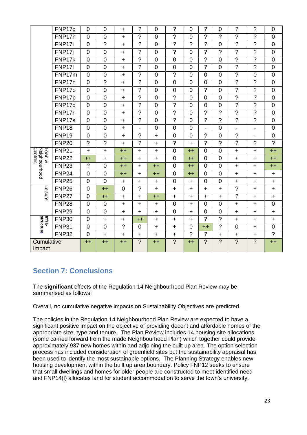|                                    | FNP17g        | $\overline{0}$ | $\mathbf 0$    | $\ddot{}$      | $\tilde{?}$              | $\overline{0}$  | $\gamma$                 | $\overline{0}$ | ?                        | $\overline{0}$           | $\gamma$                 | $\gamma$                 | $\overline{0}$                   |
|------------------------------------|---------------|----------------|----------------|----------------|--------------------------|-----------------|--------------------------|----------------|--------------------------|--------------------------|--------------------------|--------------------------|----------------------------------|
|                                    | FNP17h        | $\overline{0}$ | $\mathbf 0$    | $\ddot{}$      | $\overline{\phantom{a}}$ | $\overline{0}$  | $\overline{\phantom{a}}$ | $\overline{0}$ | ?                        | $\overline{\mathcal{C}}$ | $\gamma$                 | $\overline{\phantom{a}}$ | $\mathbf 0$                      |
|                                    | FNP17i        | $\overline{0}$ | $\overline{?}$ | $\ddot{}$      | $\overline{?}$           | $\overline{0}$  | $\overline{2}$           | $\overline{?}$ | ?                        | $\overline{0}$           | ?                        | ?                        | $\overline{0}$                   |
|                                    | FNP17j        | $\overline{0}$ | $\overline{0}$ | $\ddot{}$      | $\overline{?}$           | $\overline{0}$  | $\overline{\phantom{a}}$ | $\overline{0}$ | $\overline{\phantom{a}}$ | $\overline{\mathcal{C}}$ | $\overline{2}$           | $\overline{\phantom{a}}$ | $\overline{0}$                   |
|                                    | FNP17k        | $\overline{0}$ | $\overline{0}$ | $\ddot{}$      | $\overline{?}$           | $\overline{0}$  | $\overline{0}$           | $\overline{0}$ | $\tilde{?}$              | $\overline{0}$           | $\overline{?}$           | $\overline{2}$           | $\overline{0}$                   |
|                                    | <b>FNP17I</b> | $\overline{0}$ | $\mathbf 0$    | $\ddot{}$      | $\ddot{ }$               | $\overline{0}$  | $\overline{0}$           | $\overline{0}$ | $\overline{\mathcal{C}}$ | $\mathbf 0$              | $\overline{?}$           | $\overline{?}$           | $\mathbf 0$                      |
|                                    | FNP17m        | $\overline{0}$ | $\mathbf 0$    | $+$            | $\tilde{?}$              | $\overline{0}$  | $\tilde{?}$              | $\overline{0}$ | $\mathbf 0$              | $\mathbf 0$              | $\overline{?}$           | $\mathbf 0$              | $\mathbf 0$                      |
|                                    | FNP17n        | $\overline{0}$ | $\overline{?}$ | $\ddot{}$      | $\overline{?}$           | $\overline{0}$  | $\overline{0}$           | $\overline{0}$ | $\overline{0}$           | $\overline{0}$           | $\overline{?}$           | $\overline{?}$           | $\overline{0}$                   |
|                                    | FNP17o        | $\overline{0}$ | $\mathbf 0$    | $\ddot{}$      | $\overline{\mathcal{C}}$ | $\mathbf 0$     | 0                        | $\mathbf 0$    | $\tilde{?}$              | $\mathbf 0$              | $\overline{?}$           | $\tilde{?}$              | $\pmb{0}$                        |
|                                    | FNP17p        | $\overline{0}$ | $\pmb{0}$      | $\ddot{}$      | $\overline{\phantom{a}}$ | $\mathbf 0$     | $\overline{\mathcal{C}}$ | $\mathbf 0$    | $\mathbf 0$              | $\boldsymbol{0}$         | $\overline{?}$           | $\overline{\mathcal{C}}$ | $\pmb{0}$                        |
|                                    | FNP17q        | $\overline{0}$ | $\overline{0}$ | $\ddot{}$      | $\overline{?}$           | $\mathbf 0$     | $\overline{?}$           | $\overline{0}$ | $\overline{0}$           | $\mathbf 0$              | $\overline{2}$           | $\overline{?}$           | $\overline{0}$                   |
|                                    | FNP17r        | $\overline{0}$ | $\overline{0}$ | $\ddot{}$      | $\overline{?}$           | $\overline{0}$  | $\tilde{?}$              | $\overline{0}$ | $\overline{?}$           | $\overline{?}$           | $\overline{2}$           | $\gamma$                 | $\overline{0}$                   |
|                                    | FNP17s        | $\mathbf 0$    | $\mathbf 0$    | $\ddot{}$      | $\tilde{?}$              | $\mathbf 0$     | $\overline{\mathcal{C}}$ | $\mathbf 0$    | $\tilde{?}$              | $\overline{?}$           | $\overline{2}$           | $\overline{\mathcal{C}}$ | $\mathbf 0$                      |
|                                    | <b>FNP18</b>  | $\overline{0}$ | $\mathbf 0$    | $\ddot{}$      | $\overline{a}$           | $\overline{0}$  | $\overline{0}$           | $\overline{0}$ |                          | $\overline{0}$           | $\overline{\phantom{0}}$ | $\overline{a}$           | $\mathbf 0$                      |
|                                    | <b>FNP19</b>  | $\overline{0}$ | $\overline{0}$ | $\ddot{}$      | $\tilde{?}$              | $\ddot{}$       | $\overline{0}$           | $\overline{0}$ | ?                        | $\overline{0}$           | $\overline{2}$           | $\overline{\phantom{a}}$ | $\overline{0}$                   |
|                                    | <b>FNP20</b>  | $\overline{2}$ | $\tilde{?}$    | $\ddot{}$      | $\gamma$                 | $\ddot{}$       | $\tilde{?}$              | $\ddot{}$      | $\overline{\phantom{a}}$ | $\overline{?}$           | $\overline{2}$           | $\gamma$                 | $\overline{?}$                   |
| Centres<br>Town 8<br>Neighbourhood | <b>FNP21</b>  | $\ddot{}$      | $\ddot{}$      | $++$           | $\ddot{}$                | $\ddot{}$       | $\overline{0}$           | $++$           | $\mathbf 0$              | $\overline{0}$           | $\ddot{}$                | $\ddot{}$                | $++$                             |
|                                    | <b>FNP22</b>  | $++$           | $\ddot{}$      | $++$           | $\ddot{}$                | $\ddot{}$       | $\overline{0}$           | $++$           | $\overline{0}$           | $\mathbf 0$              | $+$                      | $\ddot{}$                | $++$                             |
|                                    | <b>FNP23</b>  | $\tilde{?}$    | 0              | $++$           | $\ddot{}$                | $^{\mathrm{+}}$ | $\overline{0}$           | $++$           | $\mathbf 0$              | $\mathbf 0$              | $\ddot{}$                | +                        | $++$                             |
|                                    | <b>FNP24</b>  | $\overline{0}$ | 0              | $++$           | $\ddot{}$                | $++$            | 0                        | $++$           | $\mathbf 0$              | $\mathbf 0$              | $\ddot{}$                | $\ddot{}$                | $\ddot{}$                        |
| Leisure                            | <b>FNP25</b>  | $\overline{0}$ | $\overline{0}$ | $\ddot{}$      | $\ddot{}$                | $\ddot{}$       | $\overline{0}$           | $\ddot{}$      | $\mathbf 0$              | $\overline{0}$           | $\ddot{}$                | $\ddot{}$                | $\ddot{}$                        |
|                                    | <b>FNP26</b>  | $\overline{0}$ | $++$           | $\overline{0}$ | $\overline{?}$           | $\ddot{}$       | $+$                      | $\ddot{}$      | $+$                      | $+$                      | ?                        | $\ddot{}$                | $\ddot{}$                        |
|                                    | <b>FNP27</b>  | $\overline{0}$ | $++$           | $\ddot{}$      | $\ddot{}$                | $++$            | $\ddot{}$                | $\ddot{}$      | $\ddot{}$                | $\ddot{}$                | ?                        | $\ddot{}$                | $\begin{array}{c} + \end{array}$ |
|                                    | <b>FNP28</b>  | $\overline{0}$ | $\mathbf 0$    | $+$            | $\ddot{}$                | $\ddot{}$       | 0                        | $\ddagger$     | $\overline{0}$           | 0                        | $+$                      | $\ddot{}$                | $\overline{0}$                   |
| structure<br>Infra-                | <b>FNP29</b>  | $\overline{0}$ | $\mathbf 0$    | $\ddot{}$      | $\ddot{}$                | $\ddot{}$       | $\overline{0}$           | $\ddot{}$      | $\mathbf 0$              | $\mathbf 0$              | $+$                      | $\ddot{}$                | $\ddot{}$                        |
|                                    | <b>FNP30</b>  | $\overline{0}$ | $\ddagger$     | $\ddot{}$      | $++$                     | $\ddot{}$       | $\ddot{}$                | $\ddot{}$      | $\tilde{?}$              | $\ddot{ }$               | $\ddot{}$                | $\ddot{}$                | $\ddot{}$                        |
|                                    | <b>FNP31</b>  | $\Omega$       | $\mathbf 0$    | $\tilde{?}$    | 0                        | $\ddagger$      | $\ddot{}$                | $\overline{0}$ | $++$                     | ?                        | $\overline{0}$           | $\ddot{}$                | $\mathbf 0$                      |
|                                    | <b>FNP32</b>  | $\overline{0}$ | $\ddot{}$      | $\ddot{}$      | $\ddot{}$                | $\ddot{}$       | $\ddot{}$                | $\tilde{?}$    | ?                        | $\ddot{}$                | $\ddot{}$                | $\ddot{}$                | $\overline{?}$                   |
| Cumulative<br>Impact               |               | $++$           | $++$           | $++$           | $\overline{?}$           | $++$            | $\overline{?}$           | $++$           | $\overline{?}$           | $\overline{?}$           | $\overline{?}$           | $\overline{2}$           | $++$                             |

# **Section 7: Conclusions**

The **significant** effects of the Regulation 14 Neighbourhood Plan Review may be summarised as follows:

Overall, no cumulative negative impacts on Sustainability Objectives are predicted.

The policies in the Regulation 14 Neighbourhood Plan Review are expected to have a significant positive impact on the objective of providing decent and affordable homes of the appropriate size, type and tenure. The Plan Review includes 14 housing site allocations (some carried forward from the made Neighbourhood Plan) which together could provide approximately 937 new homes within and adjoining the built up area. The option selection process has included consideration of greenfield sites but the sustainability appraisal has been used to identify the most sustainable options. The Planning Strategy enables new housing development within the built up area boundary. Policy FNP12 seeks to ensure that small dwellings and homes for older people are constructed to meet identified need and FNP14(l) allocates land for student accommodation to serve the town's university.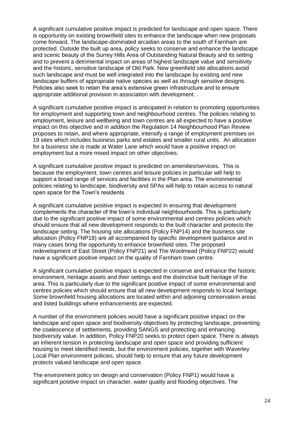A significant cumulative positive impact is predicted for landscape and open space. There is opportunity on existing brownfield sites to enhance the landscape when new proposals come forward. The landscape-dominated arcadian areas to the south of Farnham are protected. Outside the built up area, policy seeks to conserve and enhance the landscape and scenic beauty of the Surrey Hills Area of Outstanding Natural Beauty and its setting and to prevent a detrimental impact on areas of highest landscape value and sensitivity and the historic, sensitive landscape of Old Park. New greenfield site allocations avoid such landscape and must be well integrated into the landscape by existing and new landscape buffers of appropriate native species as well as through sensitive designs. Policies also seek to retain the area's extensive green infrastructure and to ensure appropriate additional provision in association with development. .

A significant cumulative positive impact is anticipated in relation to promoting opportunities for employment and supporting town and neighbourhood centres. The policies relating to employment, leisure and wellbeing and town centres are all expected to have a positive impact on this objective and in addition the Regulation 14 Neighbourhood Plan Review proposes to retain, and where appropriate, intensify a range of employment premises on 19 sites which includes business parks and estates and smaller rural units. An allocation for a business site is made at Water Lane which would have a positive impact on employment but a more mixed impact on other objectives.

A significant cumulative positive impact is predicted on amenities/services. This is because the employment, town centres and leisure policies in particular will help to support a broad range of services and facilities in the Plan area. The environmental policies relating to landscape, biodiversity and SPAs will help to retain access to natural open space for the Town's residents.

A significant cumulative positive impact is expected in ensuring that development complements the character of the town's individual neighbourhoods. This is particularly due to the significant positive impact of some environmental and centres policies which should ensure that all new development responds to the built character and protects the landscape setting. The housing site allocations (Policy FNP14) and the business site allocation (Policy FNP18) are all accompanied by specific development guidance and in many cases bring the opportunity to enhance brownfield sites. The proposed redevelopment of East Street (Policy FNP21) and The Woolmead (Policy FNP22) would have a significant positive impact on the quality of Farnham town centre.

A significant cumulative positive impact is expected in conserve and enhance the historic environment, heritage assets and their settings and the distinctive built heritage of the area. This is particularly due to the significant positive impact of some environmental and centres policies which should ensure that all new development responds to local heritage. Some brownfield housing allocations are located within and adjoining conservation areas and listed buildings where enhancements are expected.

A number of the environment policies would have a significant positive impact on the landscape and open space and biodiversity objectives by protecting landscape, preventing the coalescence of settlements, providing SANGS and protecting and enhancing biodiversity value. In addition, Policy FNP20 seeks to protect open space. There is always an inherent tension in protecting landscape and open space and providing sufficient housing to meet identified needs, but the environment policies, together with Waverley Local Plan environment policies, should help to ensure that any future development protects valued landscape and open space.

The environment policy on design and conservation (Policy FNP1) would have a significant positive impact on character, water quality and flooding objectives. The